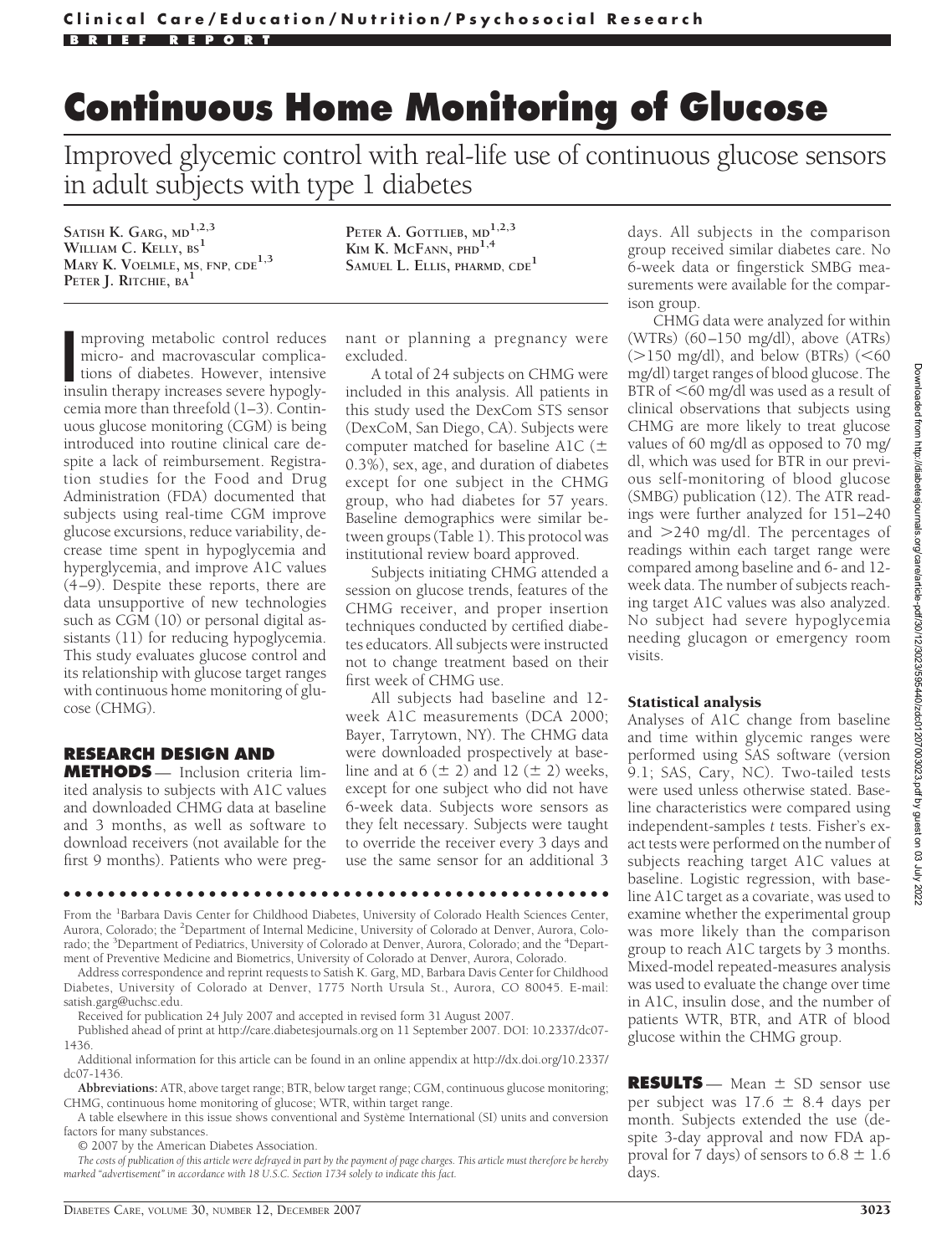# **Continuous Home Monitoring of Glucose**

Improved glycemic control with real-life use of continuous glucose sensors in adult subjects with type 1 diabetes

**SATISH K. GARG, MD1,2,3 WILLIAM C. KELLY, BS<sup>1</sup> MARY K. VOELMLE, MS, FNP, CDE1,3 PETER J. RITCHIE, BA<sup>1</sup>**

**PETER A. GOTTLIEB, MD1,2,3 KIM K. MCFANN, PHD1,4 SAMUEL L. ELLIS, PHARMD, CDE<sup>1</sup>**

mproving metabolic control reduces<br>
micro- and macrovascular complica-<br>
tions of diabetes. However, intensive<br>
insulin therapy increases severe hypoglymproving metabolic control reduces micro- and macrovascular complications of diabetes. However, intensive cemia more than threefold (1–3). Continuous glucose monitoring (CGM) is being introduced into routine clinical care despite a lack of reimbursement. Registration studies for the Food and Drug Administration (FDA) documented that subjects using real-time CGM improve glucose excursions, reduce variability, decrease time spent in hypoglycemia and hyperglycemia, and improve A1C values (4–9). Despite these reports, there are data unsupportive of new technologies such as CGM (10) or personal digital assistants (11) for reducing hypoglycemia. This study evaluates glucose control and its relationship with glucose target ranges with continuous home monitoring of glucose (CHMG).

## **RESEARCH DESIGN AND**

**METHODS** — Inclusion criteria limited analysis to subjects with A1C values and downloaded CHMG data at baseline and 3 months, as well as software to download receivers (not available for the first 9 months). Patients who were pregnant or planning a pregnancy were excluded.

A total of 24 subjects on CHMG were included in this analysis. All patients in this study used the DexCom STS sensor (DexCoM, San Diego, CA). Subjects were computer matched for baseline A1C  $(\pm$ 0.3%), sex, age, and duration of diabetes except for one subject in the CHMG group, who had diabetes for 57 years. Baseline demographics were similar between groups (Table 1). This protocol was institutional review board approved.

Subjects initiating CHMG attended a session on glucose trends, features of the CHMG receiver, and proper insertion techniques conducted by certified diabetes educators. All subjects were instructed not to change treatment based on their first week of CHMG use.

All subjects had baseline and 12 week A1C measurements (DCA 2000; Bayer, Tarrytown, NY). The CHMG data were downloaded prospectively at baseline and at  $6 (\pm 2)$  and  $12 (\pm 2)$  weeks, except for one subject who did not have 6-week data. Subjects wore sensors as they felt necessary. Subjects were taught to override the receiver every 3 days and use the same sensor for an additional 3

●●●●●●●●●●●●●●●●●●●●●●●●●●●●●●●●●●●●●●●●●●●●●●●●●

From the <sup>1</sup>Barbara Davis Center for Childhood Diabetes, University of Colorado Health Sciences Center, Aurora, Colorado; the <sup>2</sup>Department of Internal Medicine, University of Colorado at Denver, Aurora, Colorado; the <sup>3</sup>Department of Pediatrics, University of Colorado at Denver, Aurora, Colorado; and the <sup>4</sup>Department of Preventive Medicine and Biometrics, University of Colorado at Denver, Aurora, Colorado.

Address correspondence and reprint requests to Satish K. Garg, MD, Barbara Davis Center for Childhood Diabetes, University of Colorado at Denver, 1775 North Ursula St., Aurora, CO 80045. E-mail: satish.garg@uchsc.edu.

Received for publication 24 July 2007 and accepted in revised form 31 August 2007.

Published ahead of print at http://care.diabetesjournals.org on 11 September 2007. DOI: 10.2337/dc07- 1436.

Additional information for this article can be found in an online appendix at http://dx.doi.org/10.2337/ dc07-1436.

**Abbreviations:** ATR, above target range; BTR, below target range; CGM, continuous glucose monitoring; CHMG, continuous home monitoring of glucose; WTR, within target range.

A table elsewhere in this issue shows conventional and Système International (SI) units and conversion factors for many substances.

© 2007 by the American Diabetes Association.

*The costs of publication of this article were defrayed in part by the payment of page charges. This article must therefore be hereby marked "advertisement" in accordance with 18 U.S.C. Section 1734 solely to indicate this fact.*

days. All subjects in the comparison group received similar diabetes care. No 6-week data or fingerstick SMBG measurements were available for the comparison group.

CHMG data were analyzed for within (WTRs) (60–150 mg/dl), above (ATRs)  $($ >150 mg/dl), and below (BTRs)  $($ <60 mg/dl) target ranges of blood glucose. The BTR of  $\leq 60$  mg/dl was used as a result of clinical observations that subjects using CHMG are more likely to treat glucose values of 60 mg/dl as opposed to 70 mg/ dl, which was used for BTR in our previous self-monitoring of blood glucose (SMBG) publication (12). The ATR readings were further analyzed for 151–240 and -240 mg/dl. The percentages of readings within each target range were compared among baseline and 6- and 12 week data. The number of subjects reaching target A1C values was also analyzed. No subject had severe hypoglycemia needing glucagon or emergency room visits.

#### Statistical analysis

Analyses of A1C change from baseline and time within glycemic ranges were performed using SAS software (version 9.1; SAS, Cary, NC). Two-tailed tests were used unless otherwise stated. Baseline characteristics were compared using independent-samples *t* tests. Fisher's exact tests were performed on the number of subjects reaching target A1C values at baseline. Logistic regression, with baseline A1C target as a covariate, was used to examine whether the experimental group was more likely than the comparison group to reach A1C targets by 3 months. Mixed-model repeated-measures analysis was used to evaluate the change over time in A1C, insulin dose, and the number of patients WTR, BTR, and ATR of blood glucose within the CHMG group.

**RESULTS** — Mean  $\pm$  SD sensor use per subject was  $17.6 \pm 8.4$  days per month. Subjects extended the use (despite 3-day approval and now FDA approval for 7 days) of sensors to  $6.8 \pm 1.6$ days.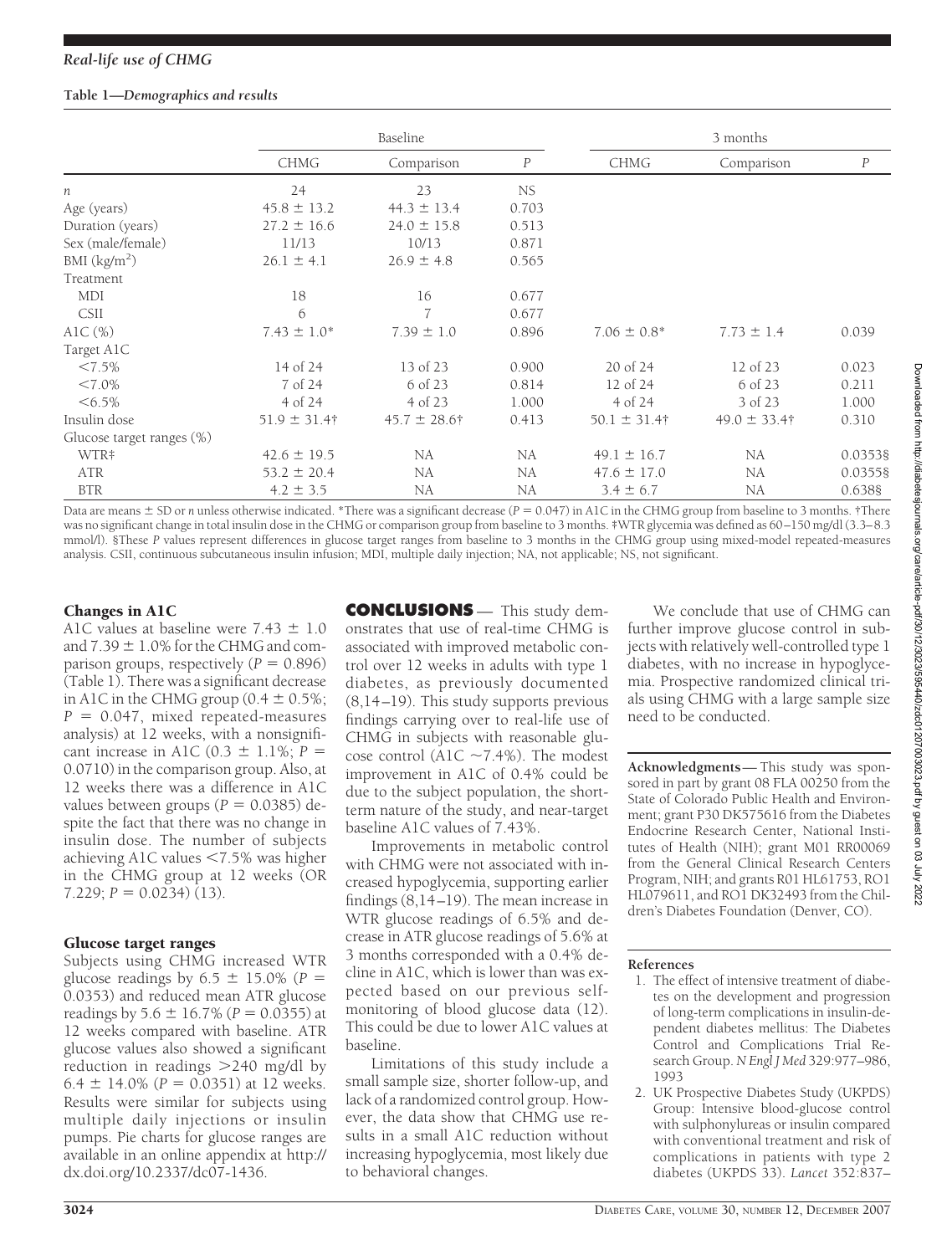#### **Table 1—***Demographics and results*

|                           | Baseline          |                   |                  | 3 months          |                   |                  |
|---------------------------|-------------------|-------------------|------------------|-------------------|-------------------|------------------|
|                           | <b>CHMG</b>       | Comparison        | $\boldsymbol{P}$ | <b>CHMG</b>       | Comparison        | $\boldsymbol{P}$ |
| $\boldsymbol{n}$          | 24                | 23                | NS.              |                   |                   |                  |
| Age (years)               | $45.8 \pm 13.2$   | $44.3 \pm 13.4$   | 0.703            |                   |                   |                  |
| Duration (years)          | $27.2 \pm 16.6$   | $24.0 \pm 15.8$   | 0.513            |                   |                   |                  |
| Sex (male/female)         | 11/13             | 10/13             | 0.871            |                   |                   |                  |
| BMI $(kg/m2)$             | $26.1 \pm 4.1$    | $26.9 \pm 4.8$    | 0.565            |                   |                   |                  |
| Treatment                 |                   |                   |                  |                   |                   |                  |
| MDI                       | 18                | 16                | 0.677            |                   |                   |                  |
| <b>CSII</b>               | 6                 | 7                 | 0.677            |                   |                   |                  |
| AlC $(\%)$                | $7.43 \pm 1.0^*$  | $7.39 \pm 1.0$    | 0.896            | $7.06 \pm 0.8^*$  | $7.73 \pm 1.4$    | 0.039            |
| Target A1C                |                   |                   |                  |                   |                   |                  |
| $<7.5\%$                  | 14 of 24          | 13 of 23          | 0.900            | 20 of 24          | 12 of 23          | 0.023            |
| $< 7.0\%$                 | 7 of 24           | 6 of 23           | 0.814            | 12 of 24          | 6 of 23           | 0.211            |
| $<6.5\%$                  | 4 of 24           | 4 of 23           | 1.000            | 4 of 24           | 3 of 23           | 1.000            |
| Insulin dose              | $51.9 \pm 31.4$ † | $45.7 \pm 28.6$ † | 0.413            | $50.1 \pm 31.4$ † | $49.0 \pm 33.4$ † | 0.310            |
| Glucose target ranges (%) |                   |                   |                  |                   |                   |                  |
| WTR‡                      | $42.6 \pm 19.5$   | NA                | NA               | $49.1 \pm 16.7$   | NA                | 0.03538          |
| ATR                       | $53.2 \pm 20.4$   | NA                | NA               | $47.6 \pm 17.0$   | NA                | 0.03558          |
| <b>BTR</b>                | $4.2 \pm 3.5$     | NA                | NA               | $3.4 \pm 6.7$     | NA                | 0.6388           |

Data are means  $\pm$  SD or *n* unless otherwise indicated. \*There was a significant decrease ( $P = 0.047$ ) in A1C in the CHMG group from baseline to 3 months. †There was no significant change in total insulin dose in the CHMG or comparison group from baseline to 3 months. ‡WTR glycemia was defined as 60–150 mg/dl (3.3–8.3 mmol/l). §These *P* values represent differences in glucose target ranges from baseline to 3 months in the CHMG group using mixed-model repeated-measures analysis. CSII, continuous subcutaneous insulin infusion; MDI, multiple daily injection; NA, not applicable; NS, not significant.

# Changes in A1C

A1C values at baseline were  $7.43 \pm 1.0$ and  $7.39 \pm 1.0\%$  for the CHMG and comparison groups, respectively  $(P = 0.896)$ (Table 1). There was a significant decrease in A1C in the CHMG group ( $0.4 \pm 0.5\%$ ;  $P = 0.047$ , mixed repeated-measures analysis) at 12 weeks, with a nonsignificant increase in A1C (0.3  $\pm$  1.1%; *P* = 0.0710) in the comparison group. Also, at 12 weeks there was a difference in A1C values between groups  $(P = 0.0385)$  despite the fact that there was no change in insulin dose. The number of subjects achieving A1C values  $\leq 7.5\%$  was higher in the CHMG group at 12 weeks (OR  $7.229; P = 0.0234$  (13).

#### Glucose target ranges

Subjects using CHMG increased WTR glucose readings by  $6.5 \pm 15.0\%$  ( $P =$ 0.0353) and reduced mean ATR glucose readings by  $5.6 \pm 16.7\%$  ( $P = 0.0355$ ) at 12 weeks compared with baseline. ATR glucose values also showed a significant reduction in readings > 240 mg/dl by 6.4  $\pm$  14.0% (*P* = 0.0351) at 12 weeks. Results were similar for subjects using multiple daily injections or insulin pumps. Pie charts for glucose ranges are available in an online appendix at http:// dx.doi.org/10.2337/dc07-1436.

**CONCLUSIONS** — This study demonstrates that use of real-time CHMG is associated with improved metabolic control over 12 weeks in adults with type 1 diabetes, as previously documented (8,14–19). This study supports previous findings carrying over to real-life use of CHMG in subjects with reasonable glucose control (A1C  $\sim$ 7.4%). The modest improvement in A1C of 0.4% could be due to the subject population, the shortterm nature of the study, and near-target baseline A1C values of 7.43%.

Improvements in metabolic control with CHMG were not associated with increased hypoglycemia, supporting earlier findings (8,14–19). The mean increase in WTR glucose readings of 6.5% and decrease in ATR glucose readings of 5.6% at 3 months corresponded with a 0.4% decline in A1C, which is lower than was expected based on our previous selfmonitoring of blood glucose data (12). This could be due to lower A1C values at baseline.

Limitations of this study include a small sample size, shorter follow-up, and lack of a randomized control group. However, the data show that CHMG use results in a small A1C reduction without increasing hypoglycemia, most likely due to behavioral changes.

We conclude that use of CHMG can further improve glucose control in subjects with relatively well-controlled type 1 diabetes, with no increase in hypoglycemia. Prospective randomized clinical trials using CHMG with a large sample size need to be conducted.

**Acknowledgments**— This study was sponsored in part by grant 08 FLA 00250 from the State of Colorado Public Health and Environment; grant P30 DK575616 from the Diabetes Endocrine Research Center, National Institutes of Health (NIH); grant M01 RR00069 from the General Clinical Research Centers Program, NIH; and grants R01 HL61753, RO1 HL079611, and RO1 DK32493 from the Children's Diabetes Foundation (Denver, CO).

## **References**

- 1. The effect of intensive treatment of diabetes on the development and progression of long-term complications in insulin-dependent diabetes mellitus: The Diabetes Control and Complications Trial Research Group. *N Engl J Med* 329:977–986, 1993
- 2. UK Prospective Diabetes Study (UKPDS) Group: Intensive blood-glucose control with sulphonylureas or insulin compared with conventional treatment and risk of complications in patients with type 2 diabetes (UKPDS 33). *Lancet* 352:837–